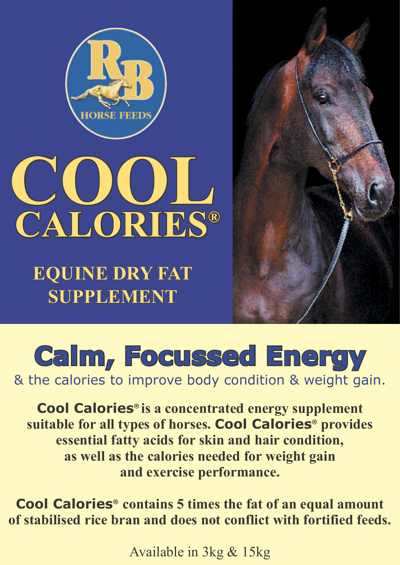



**EQUINE DRY FAT SUPPLEMENT**



## **Calm, Focussed Energy**

& the calories to improve body condition & weight gain.

**Cool Calories® is a concentrated energy supplement suitable for all types of horses. Cool Calories® provides essential fatty acids for skin and hair condition, as well as the calories needed for weight gain and exercise performance.**

**Cool Calories® contains 5 times the fat of an equal amount of stabilised rice bran and does not conflict with fortified feeds.**

Available in 3kg & 15kg